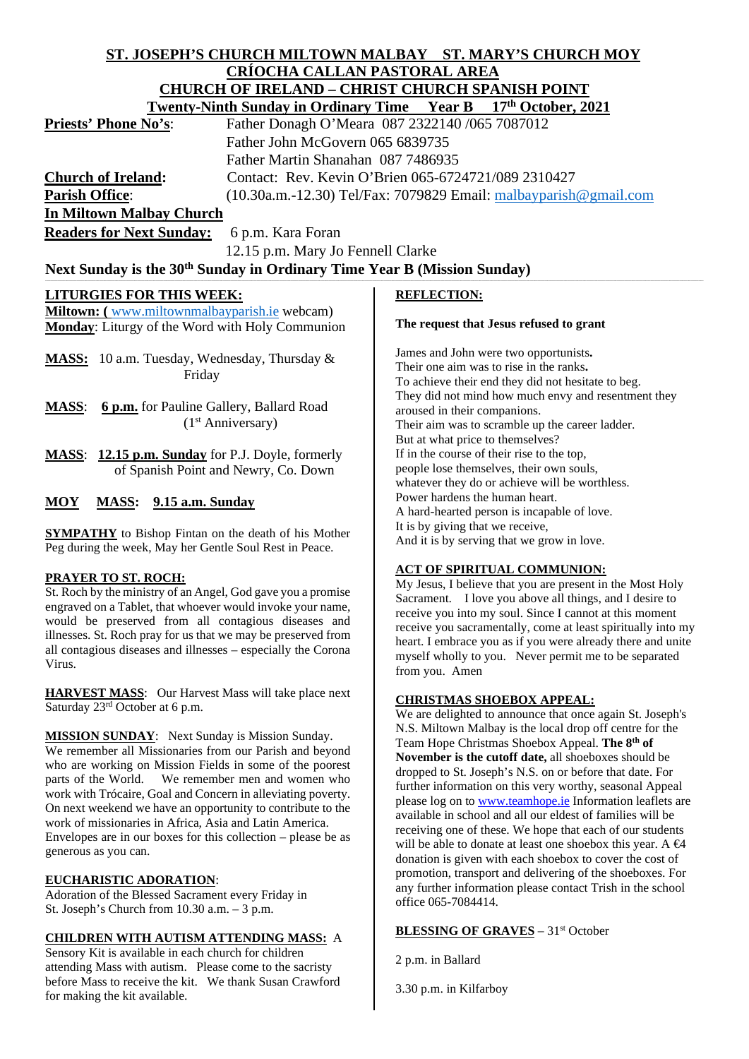# **ST. JOSEPH'S CHURCH MILTOWN MALBAY ST. MARY'S CHURCH MOY CRÍOCHA CALLAN PASTORAL AREA CHURCH OF IRELAND – CHRIST CHURCH SPANISH POINT Twenty-Ninth Sunday in Ordinary Time Year B 17th October, 2021**

| <b>Priests' Phone No's:</b>                                                                                   |                                                                     | Father Donagh O'Meara 087 2322140 /065 7087012                                                                                         |
|---------------------------------------------------------------------------------------------------------------|---------------------------------------------------------------------|----------------------------------------------------------------------------------------------------------------------------------------|
|                                                                                                               | Father John McGovern 065 6839735                                    |                                                                                                                                        |
|                                                                                                               | Father Martin Shanahan 087 7486935                                  |                                                                                                                                        |
| <b>Church of Ireland:</b>                                                                                     | Contact: Rev. Kevin O'Brien 065-6724721/089 2310427                 |                                                                                                                                        |
| <b>Parish Office:</b>                                                                                         | $(10.30a.m.-12.30)$ Tel/Fax: 7079829 Email: malbayparish @gmail.com |                                                                                                                                        |
| <b>In Miltown Malbay Church</b>                                                                               |                                                                     |                                                                                                                                        |
| <b>Readers for Next Sunday:</b>                                                                               | 6 p.m. Kara Foran                                                   |                                                                                                                                        |
| 12.15 p.m. Mary Jo Fennell Clarke                                                                             |                                                                     |                                                                                                                                        |
| Next Sunday is the 30 <sup>th</sup> Sunday in Ordinary Time Year B (Mission Sunday)                           |                                                                     |                                                                                                                                        |
| <b>LITURGIES FOR THIS WEEK:</b>                                                                               |                                                                     | <b>REFLECTION:</b>                                                                                                                     |
| <b>Miltown:</b> (www.miltownmalbayparish.ie webcam)<br><b>Monday:</b> Liturgy of the Word with Holy Communion |                                                                     | The request that Jesus refused to grant                                                                                                |
| <b>MASS:</b> 10 a.m. Tuesday, Wednesday, Thursday &<br>Friday                                                 |                                                                     | James and John were two opportunists.<br>Their one aim was to rise in the ranks.<br>To achieve their end they did not hesitate to beg. |
| <b>MASS:</b><br>6 p.m. for Pauline Gallery, Ballard Road<br>(1 <sup>st</sup> Anniversary)                     |                                                                     | They did not mind how much envy and resentment they<br>aroused in their companions.<br>Their aim was to scramble up the career ladder  |

**MASS**: **12.15 p.m. Sunday** for P.J. Doyle, formerly of Spanish Point and Newry, Co. Down

## **MOY MASS: 9.15 a.m. Sunday**

**SYMPATHY** to Bishop Fintan on the death of his Mother Peg during the week, May her Gentle Soul Rest in Peace.

### **PRAYER TO ST. ROCH:**

St. Roch by the ministry of an Angel, God gave you a promise engraved on a Tablet, that whoever would invoke your name, would be preserved from all contagious diseases and illnesses. St. Roch pray for us that we may be preserved from all contagious diseases and illnesses – especially the Corona Virus.

**HARVEST MASS**: Our Harvest Mass will take place next Saturday 23rd October at 6 p.m.

**MISSION SUNDAY**: Next Sunday is Mission Sunday. We remember all Missionaries from our Parish and beyond who are working on Mission Fields in some of the poorest parts of the World. We remember men and women who work with Trócaire, Goal and Concern in alleviating poverty. On next weekend we have an opportunity to contribute to the work of missionaries in Africa, Asia and Latin America. Envelopes are in our boxes for this collection – please be as generous as you can.

## **EUCHARISTIC ADORATION**:

Adoration of the Blessed Sacrament every Friday in St. Joseph's Church from 10.30 a.m. – 3 p.m.

### **CHILDREN WITH AUTISM ATTENDING MASS:** A

Sensory Kit is available in each church for children attending Mass with autism. Please come to the sacristy before Mass to receive the kit. We thank Susan Crawford for making the kit available.

They did not mind how much envy and resentment they Their aim was to scramble up the career ladder. But at what price to themselves? If in the course of their rise to the top, people lose themselves, their own souls, whatever they do or achieve will be worthless. Power hardens the human heart. A hard-hearted person is incapable of love. It is by giving that we receive, And it is by serving that we grow in love.

# **ACT OF SPIRITUAL COMMUNION:**

My Jesus, I believe that you are present in the Most Holy Sacrament. I love you above all things, and I desire to receive you into my soul. Since I cannot at this moment receive you sacramentally, come at least spiritually into my heart. I embrace you as if you were already there and unite myself wholly to you. Never permit me to be separated from you. Amen

# **CHRISTMAS SHOEBOX APPEAL:**

We are delighted to announce that once again St. Joseph's N.S. Miltown Malbay is the local drop off centre for the Team Hope Christmas Shoebox Appeal. **The 8th of November is the cutoff date,** all shoeboxes should be dropped to St. Joseph's N.S. on or before that date. For further information on this very worthy, seasonal Appeal please log on to [www.teamhope.ie](http://www.teamhope.ie/) Information leaflets are available in school and all our eldest of families will be receiving one of these. We hope that each of our students will be able to donate at least one shoebox this year. A  $\bigoplus$ donation is given with each shoebox to cover the cost of promotion, transport and delivering of the shoeboxes. For any further information please contact Trish in the school office 065-7084414.

## **BLESSING OF GRAVES** – 31<sup>st</sup> October

2 p.m. in Ballard

3.30 p.m. in Kilfarboy